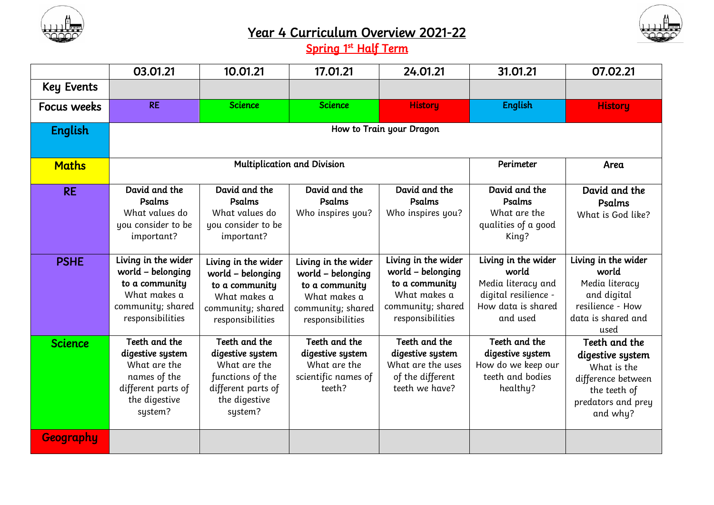

## Year 4 Curriculum Overview 2021-22



Spring 1<sup>st</sup> Half Term

|                   | 03.01.21                                                                                                            | 10.01.21                                                                                                                | 17.01.21                                                                                                            | 24.01.21                                                                                                            | 31.01.21                                                                                                     | 07.02.21                                                                                                                 |  |
|-------------------|---------------------------------------------------------------------------------------------------------------------|-------------------------------------------------------------------------------------------------------------------------|---------------------------------------------------------------------------------------------------------------------|---------------------------------------------------------------------------------------------------------------------|--------------------------------------------------------------------------------------------------------------|--------------------------------------------------------------------------------------------------------------------------|--|
| <b>Key Events</b> |                                                                                                                     |                                                                                                                         |                                                                                                                     |                                                                                                                     |                                                                                                              |                                                                                                                          |  |
| Focus weeks       | <b>RE</b>                                                                                                           | <b>Science</b>                                                                                                          | <b>Science</b>                                                                                                      | <b>History</b>                                                                                                      | <b>English</b>                                                                                               | <b>History</b>                                                                                                           |  |
| <b>English</b>    | How to Train your Dragon                                                                                            |                                                                                                                         |                                                                                                                     |                                                                                                                     |                                                                                                              |                                                                                                                          |  |
| <b>Maths</b>      | <b>Multiplication and Division</b>                                                                                  |                                                                                                                         |                                                                                                                     |                                                                                                                     | Perimeter                                                                                                    | Area                                                                                                                     |  |
| <b>RE</b>         | David and the<br>Psalms<br>What values do<br>you consider to be<br>important?                                       | David and the<br>Psalms<br>What values do<br>you consider to be<br>important?                                           | David and the<br>Psalms<br>Who inspires you?                                                                        | David and the<br>Psalms<br>Who inspires you?                                                                        | David and the<br>Psalms<br>What are the<br>qualities of a good<br>King?                                      | David and the<br>Psalms<br>What is God like?                                                                             |  |
| <b>PSHE</b>       | Living in the wider<br>world – belonging<br>to a community<br>What makes a<br>community; shared<br>responsibilities | Living in the wider<br>world - belonging<br>to a community<br>What makes a<br>community; shared<br>responsibilities     | Living in the wider<br>world - belonging<br>to a community<br>What makes a<br>community; shared<br>responsibilities | Living in the wider<br>world - belonging<br>to a community<br>What makes a<br>community; shared<br>responsibilities | Living in the wider<br>world<br>Media literacy and<br>digital resilience -<br>How data is shared<br>and used | Living in the wider<br>world<br>Media literacy<br>and digital<br>resilience - How<br>data is shared and<br>used          |  |
| <b>Science</b>    | Teeth and the<br>digestive system<br>What are the<br>names of the<br>different parts of<br>the digestive<br>system? | Teeth and the<br>digestive system<br>What are the<br>functions of the<br>different parts of<br>the digestive<br>system? | Teeth and the<br>digestive system<br>What are the<br>scientific names of<br>teeth?                                  | Teeth and the<br>digestive system<br>What are the uses<br>of the different<br>teeth we have?                        | Teeth and the<br>digestive system<br>How do we keep our<br>teeth and bodies<br>healthy?                      | Teeth and the<br>digestive system<br>What is the<br>difference between<br>the teeth of<br>predators and prey<br>and why? |  |
| <b>Geography</b>  |                                                                                                                     |                                                                                                                         |                                                                                                                     |                                                                                                                     |                                                                                                              |                                                                                                                          |  |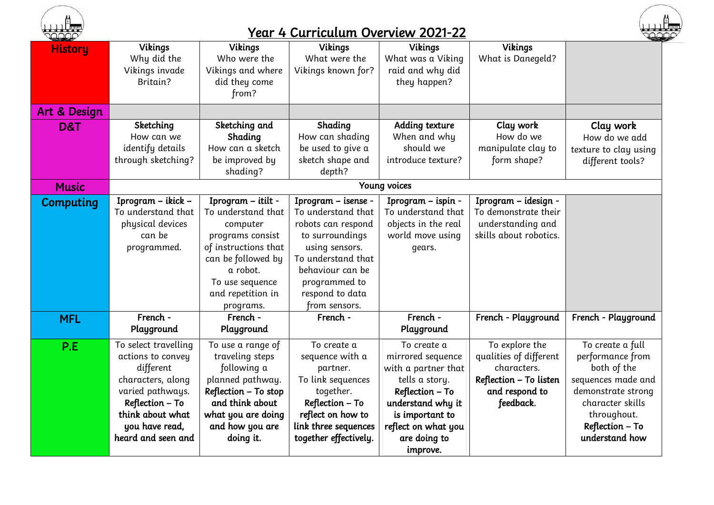

## Year 4 Curriculum Overview 2021-22



| <b>Hotel Comment Comment Comment Comment Comment Comment Comment Comment Comment Comment Comment Comment Comment Comment Comment Comment Comment Comment Comment Comment Comment Comment Comment Comment Comment Comment Comment</b> | <u>____</u>          |                      |                       |                     |                        |                       |  |
|--------------------------------------------------------------------------------------------------------------------------------------------------------------------------------------------------------------------------------------|----------------------|----------------------|-----------------------|---------------------|------------------------|-----------------------|--|
| <b>History</b>                                                                                                                                                                                                                       | <b>Vikings</b>       | <b>Vikings</b>       | <b>Vikings</b>        | <b>Vikings</b>      | <b>Vikings</b>         |                       |  |
|                                                                                                                                                                                                                                      | Why did the          | Who were the         | What were the         | What was a Viking   | What is Danegeld?      |                       |  |
|                                                                                                                                                                                                                                      | Vikings invade       | Vikings and where    | Vikings known for?    | raid and why did    |                        |                       |  |
|                                                                                                                                                                                                                                      | Britain?             | did they come        |                       | they happen?        |                        |                       |  |
|                                                                                                                                                                                                                                      |                      | from?                |                       |                     |                        |                       |  |
| Art & Design                                                                                                                                                                                                                         |                      |                      |                       |                     |                        |                       |  |
| D&T                                                                                                                                                                                                                                  | Sketching            | Sketching and        | Shading               | Adding texture      | Clay work              | Clay work             |  |
|                                                                                                                                                                                                                                      | How can we           | Shading              | How can shading       | When and why        | How do we              | How do we add         |  |
|                                                                                                                                                                                                                                      | identify details     | How can a sketch     | be used to give a     | should we           | manipulate clay to     | texture to clay using |  |
|                                                                                                                                                                                                                                      | through sketching?   | be improved by       | sketch shape and      | introduce texture?  | form shape?            | different tools?      |  |
|                                                                                                                                                                                                                                      |                      | shading?             | depth?                |                     |                        |                       |  |
| <b>Music</b>                                                                                                                                                                                                                         |                      |                      |                       | Young voices        |                        |                       |  |
| Computing                                                                                                                                                                                                                            | Iprogram - ikick -   | Iprogram - itilt -   | Iprogram - isense -   | Iprogram - ispin -  | Iprogram - idesign -   |                       |  |
|                                                                                                                                                                                                                                      | To understand that   | To understand that   | To understand that    | To understand that  | To demonstrate their   |                       |  |
|                                                                                                                                                                                                                                      | physical devices     | computer             | robots can respond    | objects in the real | understanding and      |                       |  |
|                                                                                                                                                                                                                                      | can be               | programs consist     | to surroundings       | world move using    | skills about robotics. |                       |  |
|                                                                                                                                                                                                                                      | programmed.          | of instructions that | using sensors.        | gears.              |                        |                       |  |
|                                                                                                                                                                                                                                      |                      | can be followed by   | To understand that    |                     |                        |                       |  |
|                                                                                                                                                                                                                                      |                      | a robot.             | behaviour can be      |                     |                        |                       |  |
|                                                                                                                                                                                                                                      |                      | To use sequence      | programmed to         |                     |                        |                       |  |
|                                                                                                                                                                                                                                      |                      | and repetition in    | respond to data       |                     |                        |                       |  |
|                                                                                                                                                                                                                                      |                      | programs.            | from sensors.         |                     |                        |                       |  |
| <b>MFL</b>                                                                                                                                                                                                                           | French -             | French -             | French -              | French -            | French - Playground    | French - Playground   |  |
|                                                                                                                                                                                                                                      | Playground           | Playground           |                       | Playground          |                        |                       |  |
| P.E                                                                                                                                                                                                                                  | To select travelling | To use a range of    | To create a           | To create a         | To explore the         | To create a full      |  |
|                                                                                                                                                                                                                                      | actions to convey    | traveling steps      | sequence with a       | mirrored sequence   | qualities of different | performance from      |  |
|                                                                                                                                                                                                                                      | different            | following a          | partner.              | with a partner that | characters.            | both of the           |  |
|                                                                                                                                                                                                                                      | characters, along    | planned pathway.     | To link sequences     | tells a story.      | Reflection - To listen | sequences made and    |  |
|                                                                                                                                                                                                                                      | varied pathways.     | Reflection - To stop | together.             | Reflection - To     | and respond to         | demonstrate strong    |  |
|                                                                                                                                                                                                                                      | Reflection - To      | and think about      | Reflection - To       | understand why it   | feedback.              | character skills      |  |
|                                                                                                                                                                                                                                      | think about what     | what you are doing   | reflect on how to     | is important to     |                        | throughout.           |  |
|                                                                                                                                                                                                                                      | you have read,       | and how you are      | link three sequences  | reflect on what you |                        | Reflection - To       |  |
|                                                                                                                                                                                                                                      | heard and seen and   | doing it.            | together effectively. | are doing to        |                        | understand how        |  |
|                                                                                                                                                                                                                                      |                      |                      |                       | improve.            |                        |                       |  |